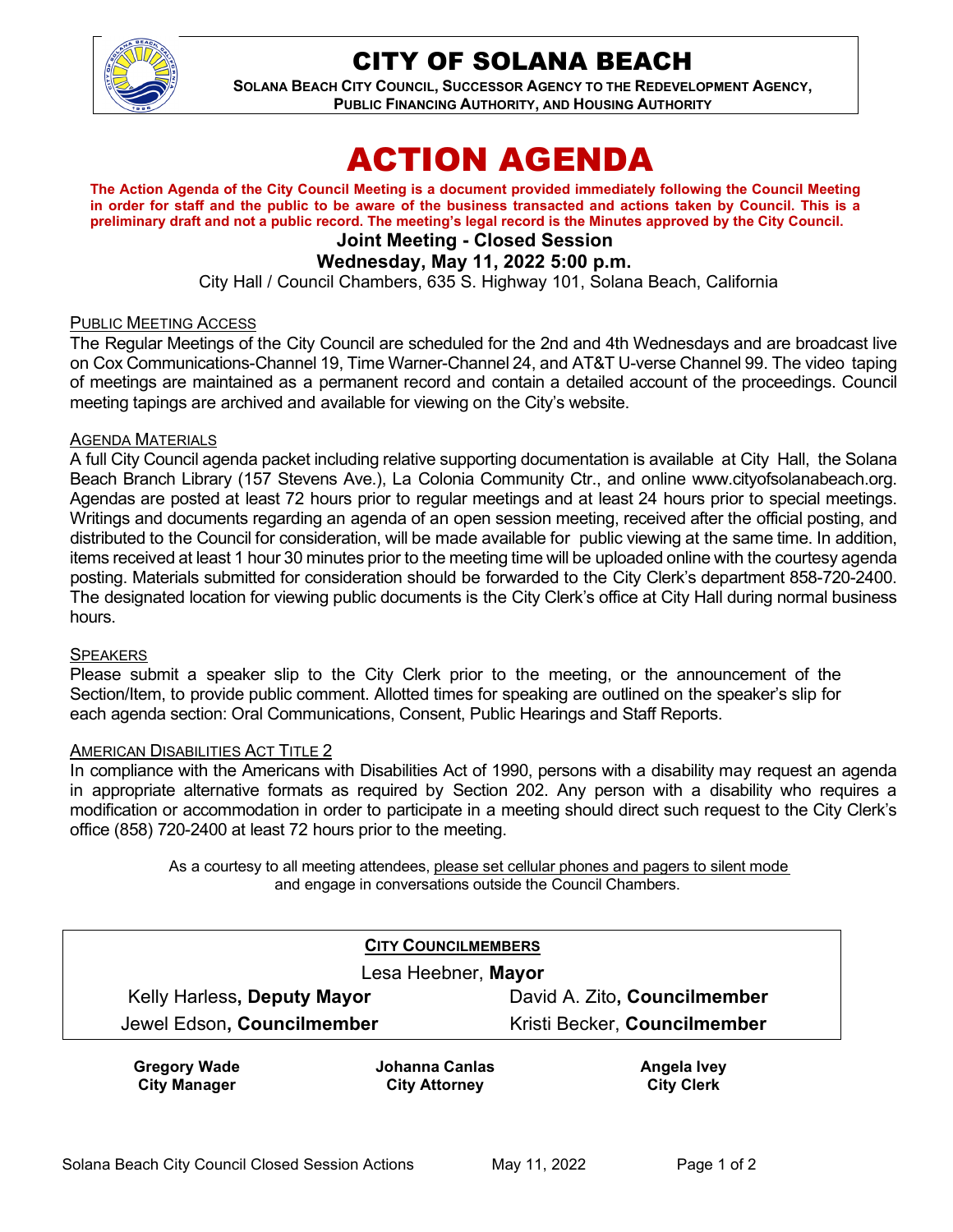

# CITY OF SOLANA BEACH

**SOLANA BEACH CITY COUNCIL, SUCCESSOR AGENCY TO THE REDEVELOPMENT AGENCY, PUBLIC FINANCING AUTHORITY, AND HOUSING AUTHORITY** 

# ACTION AGENDA

**The Action Agenda of the City Council Meeting is a document provided immediately following the Council Meeting in order for staff and the public to be aware of the business transacted and actions taken by Council. This is a preliminary draft and not a public record. The meeting's legal record is the Minutes approved by the City Council.**

# **Joint Meeting - Closed Session**

# **Wednesday, May 11, 2022 5:00 p.m.**

City Hall / Council Chambers, 635 S. Highway 101, Solana Beach, California

#### PUBLIC MEETING ACCESS

The Regular Meetings of the City Council are scheduled for the 2nd and 4th Wednesdays and are broadcast live on Cox Communications-Channel 19, Time Warner-Channel 24, and AT&T U-verse Channel 99. The video taping of meetings are maintained as a permanent record and contain a detailed account of the proceedings. Council meeting tapings are archived and available for viewing on the City's website.

#### AGENDA MATERIALS

A full City Council agenda packet including relative supporting documentation is available at City Hall, the Solana Beach Branch Library (157 Stevens Ave.), La Colonia Community Ctr., and online [www.cityofsolanabeach.org.](http://www.cityofsolanabeach.org/) Agendas are posted at least 72 hours prior to regular meetings and at least 24 hours prior to special meetings. Writings and documents regarding an agenda of an open session meeting, received after the official posting, and distributed to the Council for consideration, will be made available for public viewing at the same time. In addition, items received at least 1 hour 30 minutes prior to the meeting time will be uploaded online with the courtesy agenda posting. Materials submitted for consideration should be forwarded to the City Clerk's department 858-720-2400. The designated location for viewing public documents is the City Clerk's office at City Hall during normal business hours.

#### **SPEAKERS**

Please submit a speaker slip to the City Clerk prior to the meeting, or the announcement of the Section/Item, to provide public comment. Allotted times for speaking are outlined on the speaker's slip for each agenda section: Oral Communications, Consent, Public Hearings and Staff Reports.

#### AMERICAN DISABILITIES ACT TITLE 2

In compliance with the Americans with Disabilities Act of 1990, persons with a disability may request an agenda in appropriate alternative formats as required by Section 202. Any person with a disability who requires a modification or accommodation in order to participate in a meeting should direct such request to the City Clerk's office (858) 720-2400 at least 72 hours prior to the meeting.

> As a courtesy to all meeting attendees, please set cellular phones and pagers to silent mode and engage in conversations outside the Council Chambers.

| <b>CITY COUNCILMEMBERS</b><br>Lesa Heebner, Mayor |                                        |                                  |
|---------------------------------------------------|----------------------------------------|----------------------------------|
|                                                   |                                        |                                  |
| Jewel Edson, Councilmember                        |                                        | Kristi Becker, Councilmember     |
| <b>Gregory Wade</b><br><b>City Manager</b>        | Johanna Canlas<br><b>City Attorney</b> | Angela Ivey<br><b>City Clerk</b> |